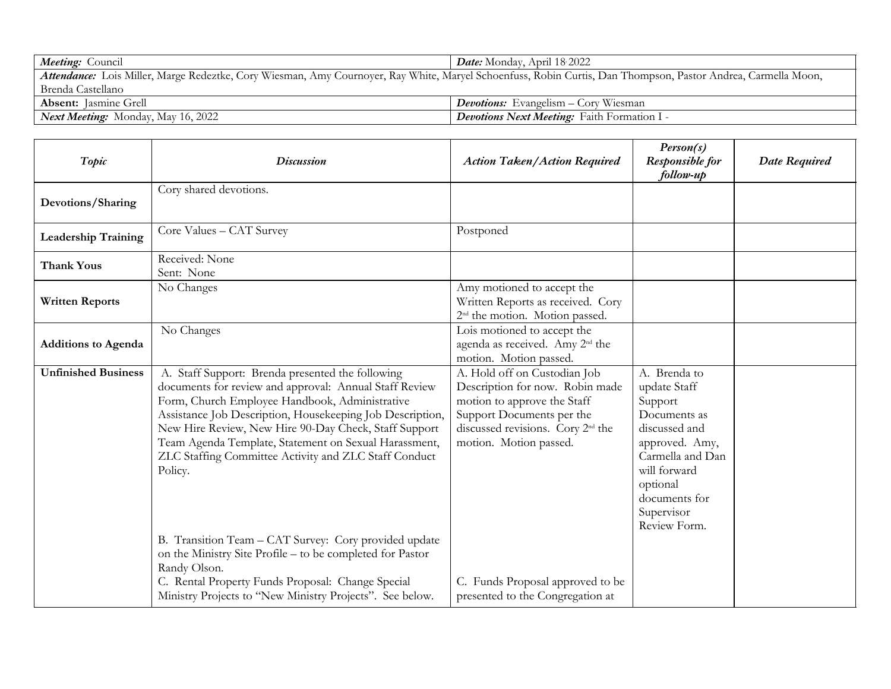| Meeting: Council                                                                                                                                              | <b>Date:</b> Monday, April 18.2022                 |  |  |  |
|---------------------------------------------------------------------------------------------------------------------------------------------------------------|----------------------------------------------------|--|--|--|
| Attendance: Lois Miller, Marge Redeztke, Cory Wiesman, Amy Cournoyer, Ray White, Maryel Schoenfuss, Robin Curtis, Dan Thompson, Pastor Andrea, Carmella Moon, |                                                    |  |  |  |
| Brenda Castellano                                                                                                                                             |                                                    |  |  |  |
| <b>Absent:</b> Jasmine Grell                                                                                                                                  | <b>Devotions:</b> Evangelism – Cory Wiesman        |  |  |  |
| <b>Next Meeting:</b> Monday, May 16, 2022                                                                                                                     | <b>Devotions Next Meeting:</b> Faith Formation I - |  |  |  |

| Topic                      | <b>Discussion</b>                                                                                                                                                                                                                                                                                                                                                                                               | <b>Action Taken/Action Required</b>                                                                                                                                                                    | Person(s)<br>Responsible for<br>follow-up                                                                                                                                                 | <b>Date Required</b> |
|----------------------------|-----------------------------------------------------------------------------------------------------------------------------------------------------------------------------------------------------------------------------------------------------------------------------------------------------------------------------------------------------------------------------------------------------------------|--------------------------------------------------------------------------------------------------------------------------------------------------------------------------------------------------------|-------------------------------------------------------------------------------------------------------------------------------------------------------------------------------------------|----------------------|
| Devotions/Sharing          | Cory shared devotions.                                                                                                                                                                                                                                                                                                                                                                                          |                                                                                                                                                                                                        |                                                                                                                                                                                           |                      |
| <b>Leadership Training</b> | Core Values - CAT Survey                                                                                                                                                                                                                                                                                                                                                                                        | Postponed                                                                                                                                                                                              |                                                                                                                                                                                           |                      |
| <b>Thank Yous</b>          | Received: None<br>Sent: None                                                                                                                                                                                                                                                                                                                                                                                    |                                                                                                                                                                                                        |                                                                                                                                                                                           |                      |
| <b>Written Reports</b>     | No Changes                                                                                                                                                                                                                                                                                                                                                                                                      | Amy motioned to accept the<br>Written Reports as received. Cory<br>2 <sup>nd</sup> the motion. Motion passed.                                                                                          |                                                                                                                                                                                           |                      |
| <b>Additions to Agenda</b> | No Changes                                                                                                                                                                                                                                                                                                                                                                                                      | Lois motioned to accept the<br>agenda as received. Amy 2 <sup>nd</sup> the<br>motion. Motion passed.                                                                                                   |                                                                                                                                                                                           |                      |
| <b>Unfinished Business</b> | A. Staff Support: Brenda presented the following<br>documents for review and approval: Annual Staff Review<br>Form, Church Employee Handbook, Administrative<br>Assistance Job Description, Housekeeping Job Description,<br>New Hire Review, New Hire 90-Day Check, Staff Support<br>Team Agenda Template, Statement on Sexual Harassment,<br>ZLC Staffing Committee Activity and ZLC Staff Conduct<br>Policy. | A. Hold off on Custodian Job<br>Description for now. Robin made<br>motion to approve the Staff<br>Support Documents per the<br>discussed revisions. Cory 2 <sup>nd</sup> the<br>motion. Motion passed. | A. Brenda to<br>update Staff<br>Support<br>Documents as<br>discussed and<br>approved. Amy,<br>Carmella and Dan<br>will forward<br>optional<br>documents for<br>Supervisor<br>Review Form. |                      |
|                            | B. Transition Team - CAT Survey: Cory provided update<br>on the Ministry Site Profile – to be completed for Pastor<br>Randy Olson.<br>C. Rental Property Funds Proposal: Change Special<br>Ministry Projects to "New Ministry Projects". See below.                                                                                                                                                             | C. Funds Proposal approved to be<br>presented to the Congregation at                                                                                                                                   |                                                                                                                                                                                           |                      |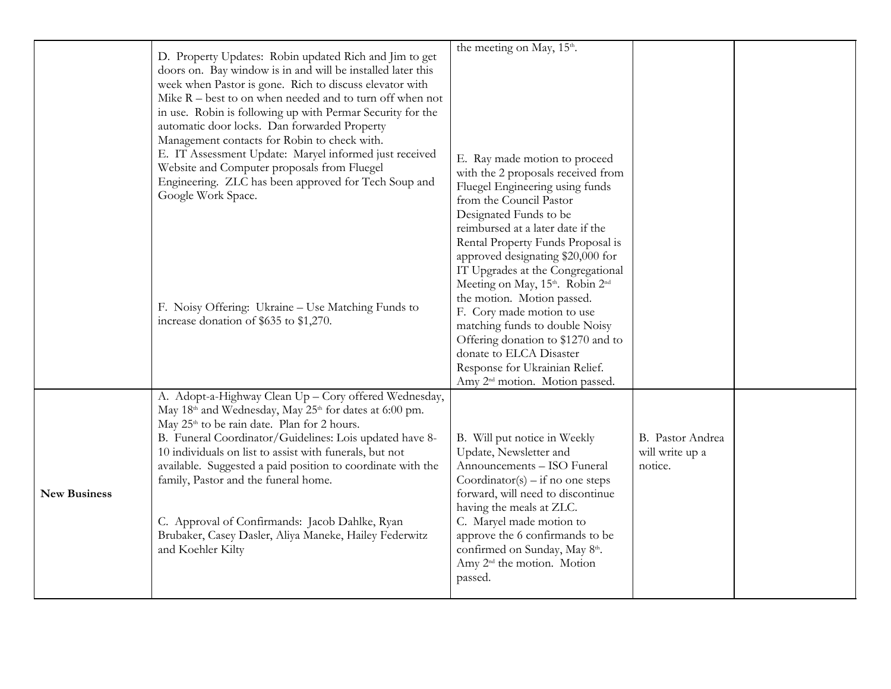|                     |                                                             | the meeting on May, 15 <sup>th</sup> .     |                  |  |
|---------------------|-------------------------------------------------------------|--------------------------------------------|------------------|--|
|                     | D. Property Updates: Robin updated Rich and Jim to get      |                                            |                  |  |
|                     | doors on. Bay window is in and will be installed later this |                                            |                  |  |
|                     | week when Pastor is gone. Rich to discuss elevator with     |                                            |                  |  |
|                     | Mike $R$ – best to on when needed and to turn off when not  |                                            |                  |  |
|                     | in use. Robin is following up with Permar Security for the  |                                            |                  |  |
|                     | automatic door locks. Dan forwarded Property                |                                            |                  |  |
|                     | Management contacts for Robin to check with.                |                                            |                  |  |
|                     | E. IT Assessment Update: Maryel informed just received      | E. Ray made motion to proceed              |                  |  |
|                     | Website and Computer proposals from Fluegel                 | with the 2 proposals received from         |                  |  |
|                     | Engineering. ZLC has been approved for Tech Soup and        | Fluegel Engineering using funds            |                  |  |
|                     | Google Work Space.                                          | from the Council Pastor                    |                  |  |
|                     |                                                             | Designated Funds to be                     |                  |  |
|                     |                                                             | reimbursed at a later date if the          |                  |  |
|                     |                                                             | Rental Property Funds Proposal is          |                  |  |
|                     |                                                             | approved designating \$20,000 for          |                  |  |
|                     |                                                             | IT Upgrades at the Congregational          |                  |  |
|                     |                                                             | Meeting on May, 15th. Robin 2nd            |                  |  |
|                     |                                                             | the motion. Motion passed.                 |                  |  |
|                     | F. Noisy Offering: Ukraine - Use Matching Funds to          | F. Cory made motion to use                 |                  |  |
|                     | increase donation of \$635 to \$1,270.                      | matching funds to double Noisy             |                  |  |
|                     |                                                             | Offering donation to \$1270 and to         |                  |  |
|                     |                                                             | donate to ELCA Disaster                    |                  |  |
|                     |                                                             | Response for Ukrainian Relief.             |                  |  |
|                     |                                                             | Amy 2 <sup>nd</sup> motion. Motion passed. |                  |  |
|                     | A. Adopt-a-Highway Clean Up - Cory offered Wednesday,       |                                            |                  |  |
|                     | May 18th and Wednesday, May 25th for dates at 6:00 pm.      |                                            |                  |  |
|                     | May 25 <sup>th</sup> to be rain date. Plan for 2 hours.     |                                            |                  |  |
|                     | B. Funeral Coordinator/Guidelines: Lois updated have 8-     | B. Will put notice in Weekly               | B. Pastor Andrea |  |
|                     | 10 individuals on list to assist with funerals, but not     | Update, Newsletter and                     | will write up a  |  |
| <b>New Business</b> | available. Suggested a paid position to coordinate with the | Announcements - ISO Funeral                | notice.          |  |
|                     | family, Pastor and the funeral home.                        | Coordinator(s) – if no one steps           |                  |  |
|                     |                                                             | forward, will need to discontinue          |                  |  |
|                     |                                                             | having the meals at ZLC.                   |                  |  |
|                     | C. Approval of Confirmands: Jacob Dahlke, Ryan              | C. Maryel made motion to                   |                  |  |
|                     | Brubaker, Casey Dasler, Aliya Maneke, Hailey Federwitz      | approve the 6 confirmands to be            |                  |  |
|                     | and Koehler Kilty                                           | confirmed on Sunday, May 8th.              |                  |  |
|                     |                                                             | Amy 2 <sup>nd</sup> the motion. Motion     |                  |  |
|                     |                                                             | passed.                                    |                  |  |
|                     |                                                             |                                            |                  |  |